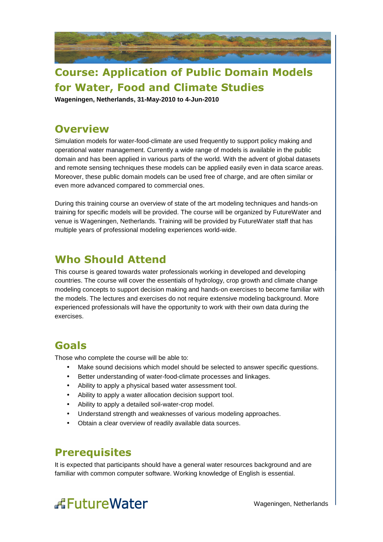

## **Course: Application of Public Domain Models for Water, Food and Climate Studies**

**Wageningen, Netherlands, 31-May-2010 to 4-Jun-2010** 

#### **Overview**

Simulation models for water-food-climate are used frequently to support policy making and operational water management. Currently a wide range of models is available in the public domain and has been applied in various parts of the world. With the advent of global datasets and remote sensing techniques these models can be applied easily even in data scarce areas. Moreover, these public domain models can be used free of charge, and are often similar or even more advanced compared to commercial ones.

During this training course an overview of state of the art modeling techniques and hands-on training for specific models will be provided. The course will be organized by FutureWater and venue is Wageningen, Netherlands. Training will be provided by FutureWater staff that has multiple years of professional modeling experiences world-wide.

## **Who Should Attend**

This course is geared towards water professionals working in developed and developing countries. The course will cover the essentials of hydrology, crop growth and climate change modeling concepts to support decision making and hands-on exercises to become familiar with the models. The lectures and exercises do not require extensive modeling background. More experienced professionals will have the opportunity to work with their own data during the exercises.

#### **Goals**

Those who complete the course will be able to:

- Make sound decisions which model should be selected to answer specific questions.
- Better understanding of water-food-climate processes and linkages.
- Ability to apply a physical based water assessment tool.
- Ability to apply a water allocation decision support tool.
- Ability to apply a detailed soil-water-crop model.
- Understand strength and weaknesses of various modeling approaches.
- Obtain a clear overview of readily available data sources.

#### **Prerequisites**

It is expected that participants should have a general water resources background and are familiar with common computer software. Working knowledge of English is essential.

# **ÆFutureWater**

Wageningen, Netherlands